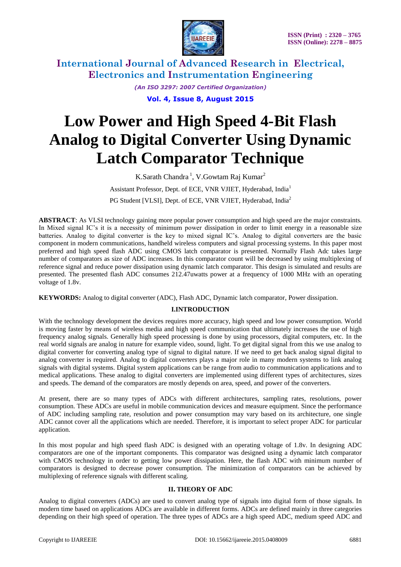

> *(An ISO 3297: 2007 Certified Organization)* **Vol. 4, Issue 8, August 2015**

# **Low Power and High Speed 4-Bit Flash Analog to Digital Converter Using Dynamic Latch Comparator Technique**

K.Sarath Chandra<sup>1</sup>, V.Gowtam Raj Kumar<sup>2</sup> Assistant Professor, Dept. of ECE, VNR VJIET, Hyderabad, India<sup>1</sup> PG Student [VLSI], Dept. of ECE, VNR VJIET, Hyderabad, India<sup>2</sup>

**ABSTRACT**: As VLSI technology gaining more popular power consumption and high speed are the major constraints. In Mixed signal IC's it is a necessity of minimum power dissipation in order to limit energy in a reasonable size batteries. Analog to digital converter is the key to mixed signal IC"s. Analog to digital converters are the basic component in modern communications, handheld wireless computers and signal processing systems. In this paper most preferred and high speed flash ADC using CMOS latch comparator is presented. Normally Flash Adc takes large number of comparators as size of ADC increases. In this comparator count will be decreased by using multiplexing of reference signal and reduce power dissipation using dynamic latch comparator. This design is simulated and results are presented. The presented flash ADC consumes 212.47uwatts power at a frequency of 1000 MHz with an operating voltage of 1.8v.

**KEYWORDS:** Analog to digital converter (ADC), Flash ADC, Dynamic latch comparator, Power dissipation.

### **I.INTRODUCTION**

With the technology development the devices requires more accuracy, high speed and low power consumption. World is moving faster by means of wireless media and high speed communication that ultimately increases the use of high frequency analog signals. Generally high speed processing is done by using processors, digital computers, etc. In the real world signals are analog in nature for example video, sound, light. To get digital signal from this we use analog to digital converter for converting analog type of signal to digital nature. If we need to get back analog signal digital to analog converter is required. Analog to digital converters plays a major role in many modern systems to link analog signals with digital systems. Digital system applications can be range from audio to communication applications and to medical applications. These analog to digital converters are implemented using different types of architectures, sizes and speeds. The demand of the comparators are mostly depends on area, speed, and power of the converters.

At present, there are so many types of ADCs with different architectures, sampling rates, resolutions, power consumption. These ADCs are useful in mobile communication devices and measure equipment. Since the performance of ADC including sampling rate, resolution and power consumption may vary based on its architecture, one single ADC cannot cover all the applications which are needed. Therefore, it is important to select proper ADC for particular application.

In this most popular and high speed flash ADC is designed with an operating voltage of 1.8v. In designing ADC comparators are one of the important components. This comparator was designed using a dynamic latch comparator with CMOS technology in order to getting low power dissipation. Here, the flash ADC with minimum number of comparators is designed to decrease power consumption. The minimization of comparators can be achieved by multiplexing of reference signals with different scaling.

### **II. THEORY OF ADC**

Analog to digital converters (ADCs) are used to convert analog type of signals into digital form of those signals. In modern time based on applications ADCs are available in different forms. ADCs are defined mainly in three categories depending on their high speed of operation. The three types of ADCs are a high speed ADC, medium speed ADC and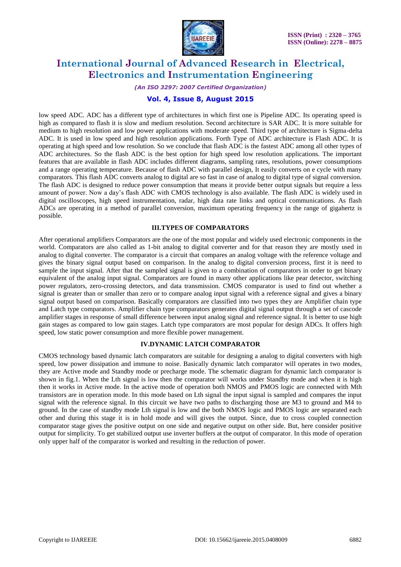

#### *(An ISO 3297: 2007 Certified Organization)*

### **Vol. 4, Issue 8, August 2015**

low speed ADC. ADC has a different type of architectures in which first one is Pipeline ADC. Its operating speed is high as compared to flash it is slow and medium resolution. Second architecture is SAR ADC. It is more suitable for medium to high resolution and low power applications with moderate speed. Third type of architecture is Sigma-delta ADC. It is used in low speed and high resolution applications. Forth Type of ADC architecture is Flash ADC. It is operating at high speed and low resolution. So we conclude that flash ADC is the fastest ADC among all other types of ADC architectures. So the flash ADC is the best option for high speed low resolution applications. The important features that are available in flash ADC includes different diagrams, sampling rates, resolutions, power consumptions and a range operating temperature. Because of flash ADC with parallel design, It easily converts on e cycle with many comparators. This flash ADC converts analog to digital are so fast in case of analog to digital type of signal conversion. The flash ADC is designed to reduce power consumption that means it provide better output signals but require a less amount of power. Now a day"s flash ADC with CMOS technology is also available. The flash ADC is widely used in digital oscilloscopes, high speed instrumentation, radar, high data rate links and optical communications. As flash ADCs are operating in a method of parallel conversion, maximum operating frequency in the range of gigahertz is possible.

#### **III.TYPES OF COMPARATORS**

After operational amplifiers Comparators are the one of the most popular and widely used electronic components in the world. Comparators are also called as 1-bit analog to digital converter and for that reason they are mostly used in analog to digital converter. The comparator is a circuit that compares an analog voltage with the reference voltage and gives the binary signal output based on comparison. In the analog to digital conversion process, first it is need to sample the input signal. After that the sampled signal is given to a combination of comparators in order to get binary equivalent of the analog input signal. Comparators are found in many other applications like pear detector, switching power regulators, zero-crossing detectors, and data transmission. CMOS comparator is used to find out whether a signal is greater than or smaller than zero or to compare analog input signal with a reference signal and gives a binary signal output based on comparison. Basically comparators are classified into two types they are Amplifier chain type and Latch type comparators. Amplifier chain type comparators generates digital signal output through a set of cascode amplifier stages in response of small difference between input analog signal and reference signal. It is better to use high gain stages as compared to low gain stages. Latch type comparators are most popular for design ADCs. It offers high speed, low static power consumption and more flexible power management.

### **IV.DYNAMIC LATCH COMPARATOR**

CMOS technology based dynamic latch comparators are suitable for designing a analog to digital converters with high speed, low power dissipation and immune to noise. Basically dynamic latch comparator will operates in two modes, they are Active mode and Standby mode or precharge mode. The schematic diagram for dynamic latch comparator is shown in fig.1. When the Lth signal is low then the comparator will works under Standby mode and when it is high then it works in Active mode. In the active mode of operation both NMOS and PMOS logic are connected with Mth transistors are in operation mode. In this mode based on Lth signal the input signal is sampled and compares the input signal with the reference signal. In this circuit we have two paths to discharging those are M3 to ground and M4 to ground. In the case of standby mode Lth signal is low and the both NMOS logic and PMOS logic are separated each other and during this stage it is in hold mode and will gives the output. Since, due to cross coupled connection comparator stage gives the positive output on one side and negative output on other side. But, here consider positive output for simplicity. To get stabilized output use inverter buffers at the output of comparator. In this mode of operation only upper half of the comparator is worked and resulting in the reduction of power.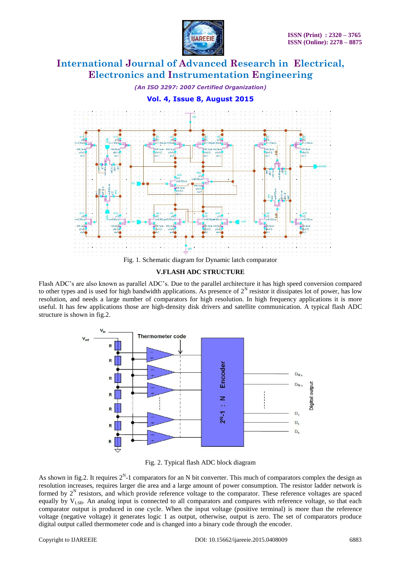

*(An ISO 3297: 2007 Certified Organization)*

### **Vol. 4, Issue 8, August 2015**



**V.FLASH ADC STRUCTURE**

Flash ADC"s are also known as parallel ADC"s. Due to the parallel architecture it has high speed conversion compared to other types and is used for high bandwidth applications. As presence of  $2^N$  resistor it dissipates lot of power, has low resolution, and needs a large number of comparators for high resolution. In high frequency applications it is more useful. It has few applications those are high-density disk drivers and satellite communication. A typical flash ADC structure is shown in fig.2.



Fig. 2. Typical flash ADC block diagram

As shown in fig.2. It requires  $2^N$ -1 comparators for an N bit converter. This much of comparators complex the design as resolution increases, requires larger die area and a large amount of power consumption. The resistor ladder network is formed by  $2<sup>N</sup>$  resistors, and which provide reference voltage to the comparator. These reference voltages are spaced equally by  $V_{LSB}$ . An analog input is connected to all comparators and compares with reference voltage, so that each comparator output is produced in one cycle. When the input voltage (positive terminal) is more than the reference voltage (negative voltage) it generates logic 1 as output, otherwise, output is zero. The set of comparators produce digital output called thermometer code and is changed into a binary code through the encoder.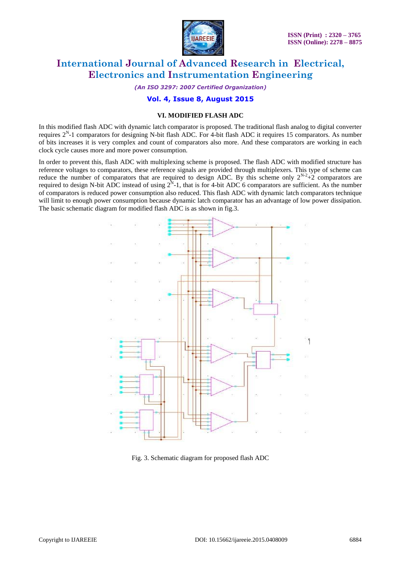

*(An ISO 3297: 2007 Certified Organization)*

### **Vol. 4, Issue 8, August 2015**

### **VI. MODIFIED FLASH ADC**

In this modified flash ADC with dynamic latch comparator is proposed. The traditional flash analog to digital converter requires  $2^N$ -1 comparators for designing N-bit flash ADC. For 4-bit flash ADC it requires 15 comparators. As number of bits increases it is very complex and count of comparators also more. And these comparators are working in each clock cycle causes more and more power consumption.

In order to prevent this, flash ADC with multiplexing scheme is proposed. The flash ADC with modified structure has reference voltages to comparators, these reference signals are provided through multiplexers. This type of scheme can reduce the number of comparators that are required to design ADC. By this scheme only  $2^{N-2}+2$  comparators are required to design N-bit ADC instead of using  $2^N$ -1, that is for 4-bit ADC 6 comparators are sufficient. As the number of comparators is reduced power consumption also reduced. This flash ADC with dynamic latch comparators technique will limit to enough power consumption because dynamic latch comparator has an advantage of low power dissipation. The basic schematic diagram for modified flash ADC is as shown in fig.3.



Fig. 3. Schematic diagram for proposed flash ADC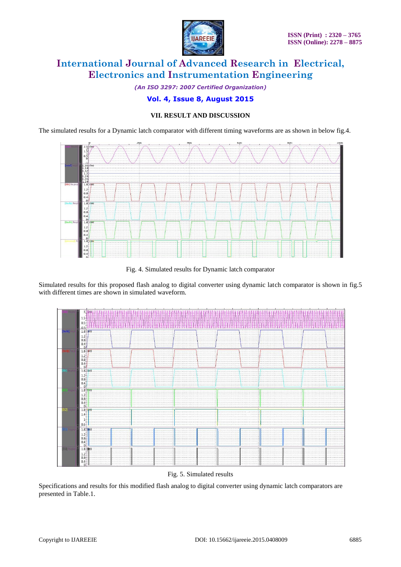

*(An ISO 3297: 2007 Certified Organization)*

### **Vol. 4, Issue 8, August 2015**

### **VII. RESULT AND DISCUSSION**

The simulated results for a Dynamic latch comparator with different timing waveforms are as shown in below fig.4.



Fig. 4. Simulated results for Dynamic latch comparator

Simulated results for this proposed flash analog to digital converter using dynamic latch comparator is shown in fig.5 with different times are shown in simulated waveform.



Fig. 5. Simulated results

Specifications and results for this modified flash analog to digital converter using dynamic latch comparators are presented in Table.1.